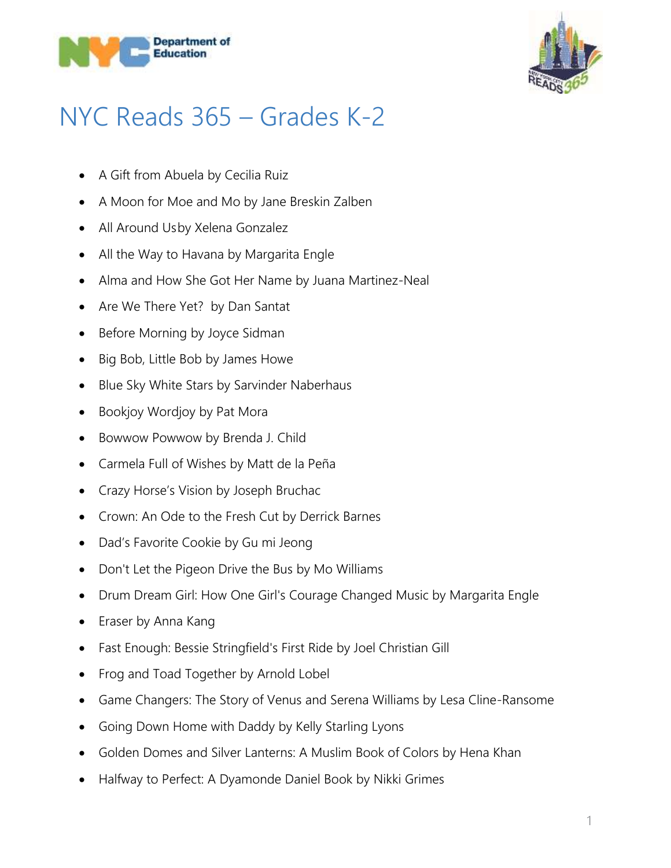



## NYC Reads 365 – Grades K-2

- A Gift from Abuela by Cecilia Ruiz
- A Moon for Moe and Mo by Jane Breskin Zalben
- All Around Usby Xelena Gonzalez
- All the Way to Havana by Margarita Engle
- Alma and How She Got Her Name by Juana Martinez-Neal
- Are We There Yet? by Dan Santat
- Before Morning by Joyce Sidman
- Big Bob, Little Bob by James Howe
- Blue Sky White Stars by Sarvinder Naberhaus
- Bookjoy Wordjoy by Pat Mora
- Bowwow Powwow by Brenda J. Child
- Carmela Full of Wishes by Matt de la Peña
- Crazy Horse's Vision by Joseph Bruchac
- Crown: An Ode to the Fresh Cut by Derrick Barnes
- Dad's Favorite Cookie by Gu mi Jeong
- Don't Let the Pigeon Drive the Bus by Mo Williams
- Drum Dream Girl: How One Girl's Courage Changed Music by Margarita Engle
- Eraser by Anna Kang
- Fast Enough: Bessie Stringfield's First Ride by Joel Christian Gill
- Frog and Toad Together by Arnold Lobel
- Game Changers: The Story of Venus and Serena Williams by Lesa Cline-Ransome
- Going Down Home with Daddy by Kelly Starling Lyons
- Golden Domes and Silver Lanterns: A Muslim Book of Colors by Hena Khan
- Halfway to Perfect: A Dyamonde Daniel Book by Nikki Grimes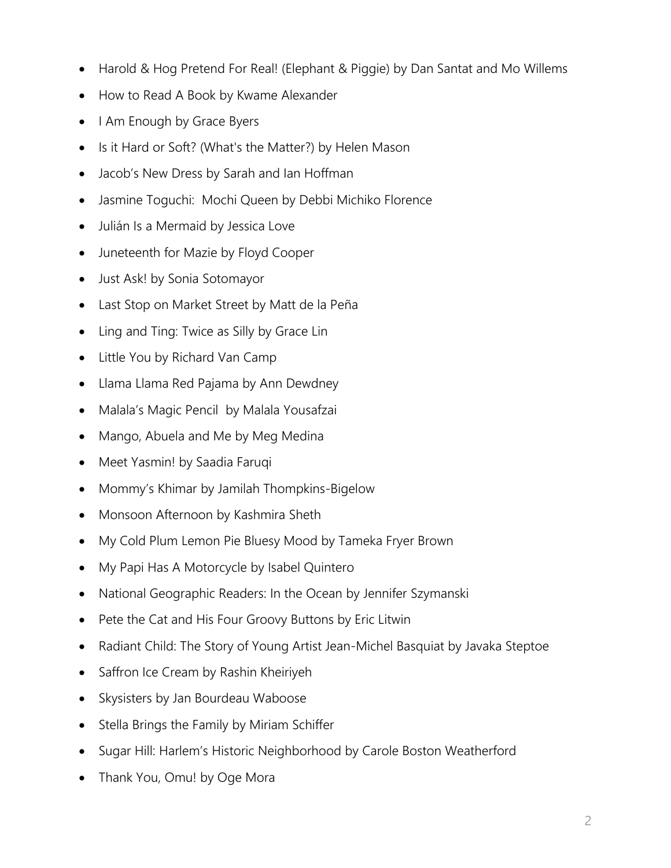- Harold & Hog Pretend For Real! (Elephant & Piggie) by Dan Santat and Mo Willems
- How to Read A Book by Kwame Alexander
- I Am Enough by Grace Byers
- Is it Hard or Soft? (What's the Matter?) by Helen Mason
- Jacob's New Dress by Sarah and Ian Hoffman
- Jasmine Toguchi: Mochi Queen by Debbi Michiko Florence
- Julián Is a Mermaid by Jessica Love
- Juneteenth for Mazie by Floyd Cooper
- Just Ask! by Sonia Sotomayor
- Last Stop on Market Street by Matt de la Peña
- Ling and Ting: Twice as Silly by Grace Lin
- Little You by Richard Van Camp
- Llama Llama Red Pajama by Ann Dewdney
- Malala's Magic Pencil by Malala Yousafzai
- Mango, Abuela and Me by Meg Medina
- Meet Yasmin! by Saadia Faruqi
- Mommy's Khimar by Jamilah Thompkins-Bigelow
- Monsoon Afternoon by Kashmira Sheth
- My Cold Plum Lemon Pie Bluesy Mood by Tameka Fryer Brown
- My Papi Has A Motorcycle by Isabel Quintero
- National Geographic Readers: In the Ocean by Jennifer Szymanski
- Pete the Cat and His Four Groovy Buttons by Eric Litwin
- Radiant Child: The Story of Young Artist Jean-Michel Basquiat by Javaka Steptoe
- Saffron Ice Cream by Rashin Kheiriyeh
- Skysisters by Jan Bourdeau Waboose
- Stella Brings the Family by Miriam Schiffer
- Sugar Hill: Harlem's Historic Neighborhood by Carole Boston Weatherford
- Thank You, Omu! by Oge Mora